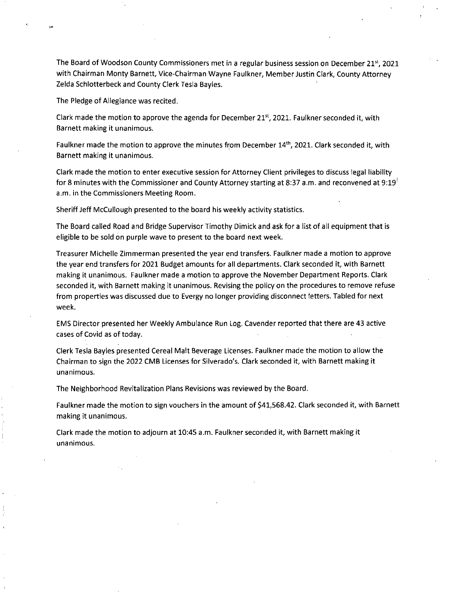The Board of Woodson County Commissioners met in a regular business session on December 21st, 2021 with Chairman Monty Barnett, Vice-Chairman Wayne Faulkner, MemberJustin Clark, County Attorney Zelda Schlotterbeck and County Clerk Tesla Bayles.

The Pledge of Allegiance was recited.

Clark made the motion to approve the agenda for December 21 $<sup>st</sup>$ , 2021. Faulkner seconded it, with</sup> Barnett making it unanimous.

Faulkner made the motion to approve the minutes from December 14<sup>th</sup>, 2021. Clark seconded it, with Barnett making it unanimous.

Clark made the motion to enter executive session for Attorney Client privileges to discuss legal liability for 8 minutes with the Commissioner and County Attorney starting at 8:37 a.m. and reconvened at 9:19 $^{\circ}$ a.m. in the Commissioners Meeting Room.

Sheriff Jeff McCullough presented to the board his weekly activity statistics.

The Board called Road and Bridge Supervisor Timothy Dimick and ask for a list of all equipment that is eligible to be sold on purple wave to present to the board next week.

Treasurer Michelle Zimmerman presented the year end transfers. Faulkner made a motion to approve the year end transfers for 2021 Budget amounts for all departments. Clark seconded it, with Barnett making it unanimous. Faulkner made a motion to approve the November Department Reports. Clark seconded it, with Barnett making it unanimous. Revising the policy on the procedures to remove refuse from properties was discussed due to Evergy no longer providing disconnect letters. Tabled for next week.

EMS Director presented her Weekly Ambulance Run Log. Cavender reported that there are 43 active cases of Covid as of today.

Clerk Tesla Bayles presented Cereal Malt Beverage Licenses. Faulkner made the motion to allow the Chairman to sign the 2022 CMB Licenses for Silverado's. Clark seconded it, with Barnett making it unanimous.

The Neighborhood Revitalization Plans Revisions was reviewed by the Board.

Faulkner made the motion to sign vouchers in the amount of \$41,568.42. Clark seconded it, with Barnett making it unanimous.

Clark made the motion to adjourn at 10:45 a.m. Faulkner seconded it, with Barnett making it unanimous.